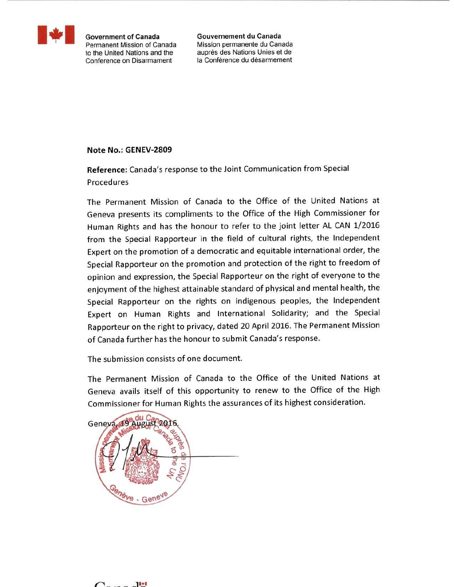

**Government of Canada** Permanent Mission of Canada to the United Nations and the Conference on Disarmament

Gouvernement du Canada Mission permanente du Canada auprès des Nations Unies et de la Conférence du désarmement

#### Note No.: GENEV-2809

Reference: Canada's response to the Joint Communication from Special Procedures

The Permanent Mission of Canada to the Office of the United Nations at Geneva presents its compliments to the Office of the High Commissioner for Human Rights and has the honour to refer to the joint letter AL CAN 1/2016 from the Special Rapporteur in the field of cultural rights, the Independent Expert on the promotion of a democratic and equitable international order, the Special Rapporteur on the promotion and protection of the right to freedom of opinion and expression, the Special Rapporteur on the right of everyone to the enjoyment of the highest attainable standard of physical and mental health, the Special Rapporteur on the rights on indigenous peoples, the Independent Expert on Human Rights and International Solidarity; and the Special Rapporteur on the right to privacy, dated 20 April 2016. The Permanent Mission of Canada further has the honour to submit Canada's response.

The submission consists of one document.

The Permanent Mission of Canada to the Office of the United Nations at Geneva avails itself of this opportunity to renew to the Office of the High Commissioner for Human Rights the assurances of its highest consideration.

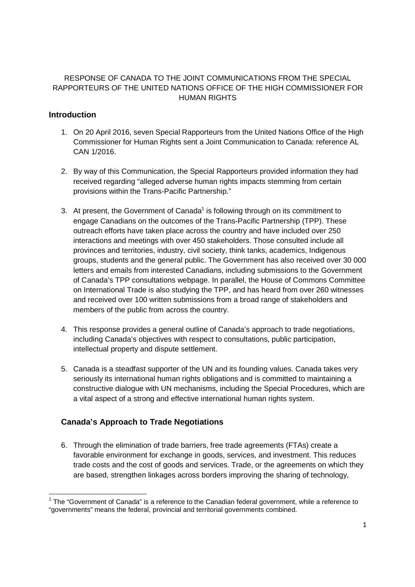# RESPONSE OF CANADA TO THE JOINT COMMUNICATIONS FROM THE SPECIAL RAPPORTEURS OF THE UNITED NATIONS OFFICE OF THE HIGH COMMISSIONER FOR HUMAN RIGHTS

# **Introduction**

l,

- 1. On 20 April 2016, seven Special Rapporteurs from the United Nations Office of the High Commissioner for Human Rights sent a Joint Communication to Canada: reference AL CAN 1/2016.
- 2. By way of this Communication, the Special Rapporteurs provided information they had received regarding "alleged adverse human rights impacts stemming from certain provisions within the Trans-Pacific Partnership."
- 3. At present, the Government of Canada<sup>1</sup> is following through on its commitment to engage Canadians on the outcomes of the Trans-Pacific Partnership (TPP). These outreach efforts have taken place across the country and have included over 250 interactions and meetings with over 450 stakeholders. Those consulted include all provinces and territories, industry, civil society, think tanks, academics, Indigenous groups, students and the general public. The Government has also received over 30 000 letters and emails from interested Canadians, including submissions to the Government of Canada's TPP consultations webpage. In parallel, the House of Commons Committee on International Trade is also studying the TPP, and has heard from over 260 witnesses and received over 100 written submissions from a broad range of stakeholders and members of the public from across the country.
- 4. This response provides a general outline of Canada's approach to trade negotiations, including Canada's objectives with respect to consultations, public participation, intellectual property and dispute settlement.
- 5. Canada is a steadfast supporter of the UN and its founding values. Canada takes very seriously its international human rights obligations and is committed to maintaining a constructive dialogue with UN mechanisms, including the Special Procedures, which are a vital aspect of a strong and effective international human rights system.

# **Canada's Approach to Trade Negotiations**

6. Through the elimination of trade barriers, free trade agreements (FTAs) create a favorable environment for exchange in goods, services, and investment. This reduces trade costs and the cost of goods and services. Trade, or the agreements on which they are based, strengthen linkages across borders improving the sharing of technology,

 $1$  The "Government of Canada" is a reference to the Canadian federal government, while a reference to "governments" means the federal, provincial and territorial governments combined.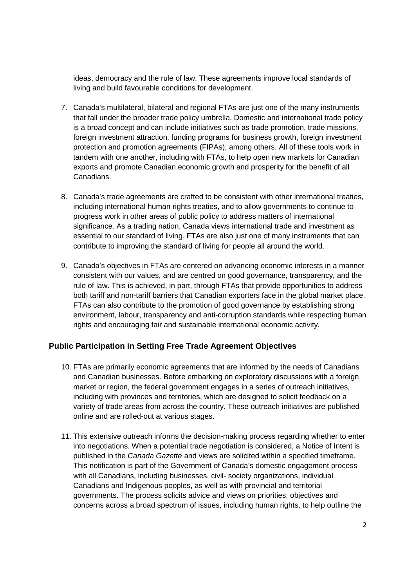ideas, democracy and the rule of law. These agreements improve local standards of living and build favourable conditions for development.

- 7. Canada's multilateral, bilateral and regional FTAs are just one of the many instruments that fall under the broader trade policy umbrella. Domestic and international trade policy is a broad concept and can include initiatives such as trade promotion, trade missions, foreign investment attraction, funding programs for business growth, foreign investment protection and promotion agreements (FIPAs), among others. All of these tools work in tandem with one another, including with FTAs, to help open new markets for Canadian exports and promote Canadian economic growth and prosperity for the benefit of all Canadians.
- 8. Canada's trade agreements are crafted to be consistent with other international treaties, including international human rights treaties, and to allow governments to continue to progress work in other areas of public policy to address matters of international significance. As a trading nation, Canada views international trade and investment as essential to our standard of living. FTAs are also just one of many instruments that can contribute to improving the standard of living for people all around the world.
- 9. Canada's objectives in FTAs are centered on advancing economic interests in a manner consistent with our values, and are centred on good governance, transparency, and the rule of law. This is achieved, in part, through FTAs that provide opportunities to address both tariff and non-tariff barriers that Canadian exporters face in the global market place. FTAs can also contribute to the promotion of good governance by establishing strong environment, labour, transparency and anti-corruption standards while respecting human rights and encouraging fair and sustainable international economic activity.

# **Public Participation in Setting Free Trade Agreement Objectives**

- 10. FTAs are primarily economic agreements that are informed by the needs of Canadians and Canadian businesses. Before embarking on exploratory discussions with a foreign market or region, the federal government engages in a series of outreach initiatives, including with provinces and territories, which are designed to solicit feedback on a variety of trade areas from across the country. These outreach initiatives are published online and are rolled-out at various stages.
- 11. This extensive outreach informs the decision-making process regarding whether to enter into negotiations. When a potential trade negotiation is considered, a Notice of Intent is published in the Canada Gazette and views are solicited within a specified timeframe. This notification is part of the Government of Canada's domestic engagement process with all Canadians, including businesses, civil- society organizations, individual Canadians and Indigenous peoples, as well as with provincial and territorial governments. The process solicits advice and views on priorities, objectives and concerns across a broad spectrum of issues, including human rights, to help outline the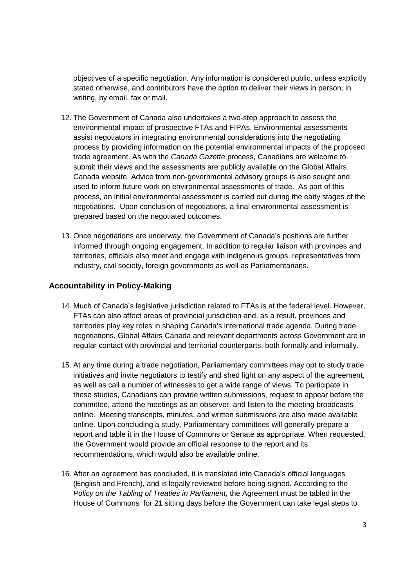objectives of a specific negotiation. Any information is considered public, unless explicitly stated otherwise, and contributors have the option to deliver their views in person, in writing, by email, fax or mail.

- 12. The Government of Canada also undertakes a two-step approach to assess the environmental impact of prospective FTAs and FIPAs. Environmental assessments assist negotiators in integrating environmental considerations into the negotiating process by providing information on the potential environmental impacts of the proposed trade agreement. As with the Canada Gazette process, Canadians are welcome to submit their views and the assessments are publicly available on the Global Affairs Canada website. Advice from non-governmental advisory groups is also sought and used to inform future work on environmental assessments of trade. As part of this process, an initial environmental assessment is carried out during the early stages of the negotiations. Upon conclusion of negotiations, a final environmental assessment is prepared based on the negotiated outcomes.
- 13. Once negotiations are underway, the Government of Canada's positions are further informed through ongoing engagement. In addition to regular liaison with provinces and territories, officials also meet and engage with indigenous groups, representatives from industry, civil society, foreign governments as well as Parliamentarians.

### **Accountability in Policy-Making**

- 14. Much of Canada's legislative jurisdiction related to FTAs is at the federal level. However, FTAs can also affect areas of provincial jurisdiction and, as a result, provinces and territories play key roles in shaping Canada's international trade agenda. During trade negotiations, Global Affairs Canada and relevant departments across Government are in regular contact with provincial and territorial counterparts, both formally and informally.
- 15. At any time during a trade negotiation, Parliamentary committees may opt to study trade initiatives and invite negotiators to testify and shed light on any aspect of the agreement, as well as call a number of witnesses to get a wide range of views. To participate in these studies, Canadians can provide written submissions, request to appear before the committee, attend the meetings as an observer, and listen to the meeting broadcasts online. Meeting transcripts, minutes, and written submissions are also made available online. Upon concluding a study, Parliamentary committees will generally prepare a report and table it in the House of Commons or Senate as appropriate. When requested, the Government would provide an official response to the report and its recommendations, which would also be available online.
- 16. After an agreement has concluded, it is translated into Canada's official languages (English and French), and is legally reviewed before being signed. According to the Policy on the Tabling of Treaties in Parliament, the Agreement must be tabled in the House of Commons for 21 sitting days before the Government can take legal steps to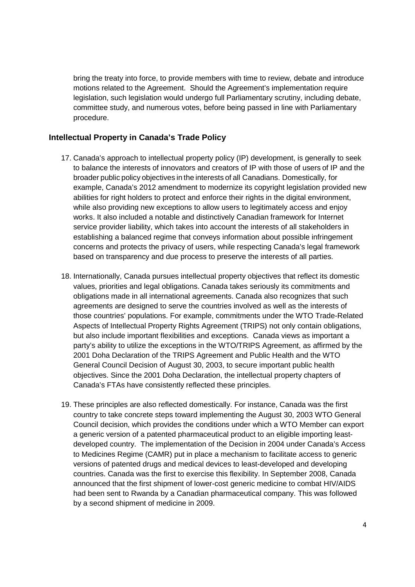bring the treaty into force, to provide members with time to review, debate and introduce motions related to the Agreement. Should the Agreement's implementation require legislation, such legislation would undergo full Parliamentary scrutiny, including debate, committee study, and numerous votes, before being passed in line with Parliamentary procedure.

#### **Intellectual Property in Canada's Trade Policy**

- 17. Canada's approach to intellectual property policy (IP) development, is generally to seek to balance the interests of innovators and creators of IP with those of users of IP and the broader public policy objectives in the interests of all Canadians. Domestically, for example, Canada's 2012 amendment to modernize its copyright legislation provided new abilities for right holders to protect and enforce their rights in the digital environment, while also providing new exceptions to allow users to legitimately access and enjoy works. It also included a notable and distinctively Canadian framework for Internet service provider liability, which takes into account the interests of all stakeholders in establishing a balanced regime that conveys information about possible infringement concerns and protects the privacy of users, while respecting Canada's legal framework based on transparency and due process to preserve the interests of all parties.
- 18. Internationally, Canada pursues intellectual property objectives that reflect its domestic values, priorities and legal obligations. Canada takes seriously its commitments and obligations made in all international agreements. Canada also recognizes that such agreements are designed to serve the countries involved as well as the interests of those countries' populations. For example, commitments under the WTO Trade-Related Aspects of Intellectual Property Rights Agreement (TRIPS) not only contain obligations, but also include important flexibilities and exceptions. Canada views as important a party's ability to utilize the exceptions in the WTO/TRIPS Agreement, as affirmed by the 2001 Doha Declaration of the TRIPS Agreement and Public Health and the WTO General Council Decision of August 30, 2003, to secure important public health objectives. Since the 2001 Doha Declaration, the intellectual property chapters of Canada's FTAs have consistently reflected these principles.
- 19. These principles are also reflected domestically. For instance, Canada was the first country to take concrete steps toward implementing the August 30, 2003 WTO General Council decision, which provides the conditions under which a WTO Member can export a generic version of a patented pharmaceutical product to an eligible importing leastdeveloped country. The implementation of the Decision in 2004 under Canada's Access to Medicines Regime (CAMR) put in place a mechanism to facilitate access to generic versions of patented drugs and medical devices to least-developed and developing countries. Canada was the first to exercise this flexibility. In September 2008, Canada announced that the first shipment of lower-cost generic medicine to combat HIV/AIDS had been sent to Rwanda by a Canadian pharmaceutical company. This was followed by a second shipment of medicine in 2009.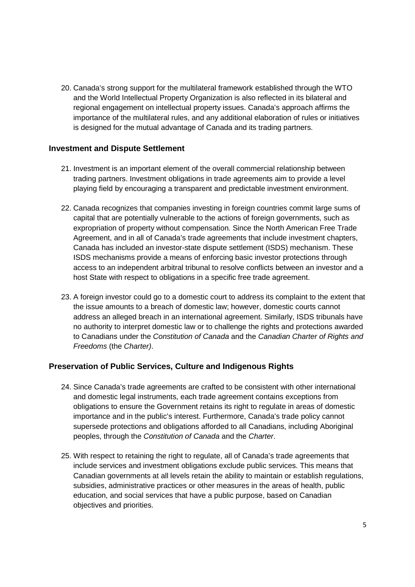20. Canada's strong support for the multilateral framework established through the WTO and the World Intellectual Property Organization is also reflected in its bilateral and regional engagement on intellectual property issues. Canada's approach affirms the importance of the multilateral rules, and any additional elaboration of rules or initiatives is designed for the mutual advantage of Canada and its trading partners.

#### **Investment and Dispute Settlement**

- 21. Investment is an important element of the overall commercial relationship between trading partners. Investment obligations in trade agreements aim to provide a level playing field by encouraging a transparent and predictable investment environment.
- 22. Canada recognizes that companies investing in foreign countries commit large sums of capital that are potentially vulnerable to the actions of foreign governments, such as expropriation of property without compensation. Since the North American Free Trade Agreement, and in all of Canada's trade agreements that include investment chapters, Canada has included an investor-state dispute settlement (ISDS) mechanism. These ISDS mechanisms provide a means of enforcing basic investor protections through access to an independent arbitral tribunal to resolve conflicts between an investor and a host State with respect to obligations in a specific free trade agreement.
- 23. A foreign investor could go to a domestic court to address its complaint to the extent that the issue amounts to a breach of domestic law; however, domestic courts cannot address an alleged breach in an international agreement. Similarly, ISDS tribunals have no authority to interpret domestic law or to challenge the rights and protections awarded to Canadians under the Constitution of Canada and the Canadian Charter of Rights and Freedoms (the Charter).

# **Preservation of Public Services, Culture and Indigenous Rights**

- 24. Since Canada's trade agreements are crafted to be consistent with other international and domestic legal instruments, each trade agreement contains exceptions from obligations to ensure the Government retains its right to regulate in areas of domestic importance and in the public's interest. Furthermore, Canada's trade policy cannot supersede protections and obligations afforded to all Canadians, including Aboriginal peoples, through the Constitution of Canada and the Charter.
- 25. With respect to retaining the right to regulate, all of Canada's trade agreements that include services and investment obligations exclude public services. This means that Canadian governments at all levels retain the ability to maintain or establish regulations, subsidies, administrative practices or other measures in the areas of health, public education, and social services that have a public purpose, based on Canadian objectives and priorities.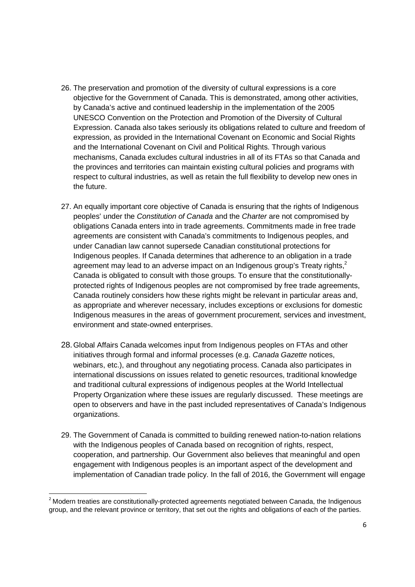- 26. The preservation and promotion of the diversity of cultural expressions is a core objective for the Government of Canada. This is demonstrated, among other activities, by Canada's active and continued leadership in the implementation of the 2005 UNESCO Convention on the Protection and Promotion of the Diversity of Cultural Expression. Canada also takes seriously its obligations related to culture and freedom of expression, as provided in the International Covenant on Economic and Social Rights and the International Covenant on Civil and Political Rights. Through various mechanisms, Canada excludes cultural industries in all of its FTAs so that Canada and the provinces and territories can maintain existing cultural policies and programs with respect to cultural industries, as well as retain the full flexibility to develop new ones in the future.
- 27. An equally important core objective of Canada is ensuring that the rights of Indigenous peoples' under the Constitution of Canada and the Charter are not compromised by obligations Canada enters into in trade agreements. Commitments made in free trade agreements are consistent with Canada's commitments to Indigenous peoples, and under Canadian law cannot supersede Canadian constitutional protections for Indigenous peoples. If Canada determines that adherence to an obligation in a trade agreement may lead to an adverse impact on an Indigenous group's Treaty rights, $<sup>2</sup>$ </sup> Canada is obligated to consult with those groups. To ensure that the constitutionallyprotected rights of Indigenous peoples are not compromised by free trade agreements, Canada routinely considers how these rights might be relevant in particular areas and, as appropriate and wherever necessary, includes exceptions or exclusions for domestic Indigenous measures in the areas of government procurement, services and investment, environment and state-owned enterprises.
- 28. Global Affairs Canada welcomes input from Indigenous peoples on FTAs and other initiatives through formal and informal processes (e.g. Canada Gazette notices, webinars, etc.), and throughout any negotiating process. Canada also participates in international discussions on issues related to genetic resources, traditional knowledge and traditional cultural expressions of indigenous peoples at the World Intellectual Property Organization where these issues are regularly discussed. These meetings are open to observers and have in the past included representatives of Canada's Indigenous organizations.
- 29. The Government of Canada is committed to building renewed nation-to-nation relations with the Indigenous peoples of Canada based on recognition of rights, respect, cooperation, and partnership. Our Government also believes that meaningful and open engagement with Indigenous peoples is an important aspect of the development and implementation of Canadian trade policy. In the fall of 2016, the Government will engage

 $\overline{a}$ 

 $<sup>2</sup>$  Modern treaties are constitutionally-protected agreements negotiated between Canada, the Indigenous</sup> group, and the relevant province or territory, that set out the rights and obligations of each of the parties.